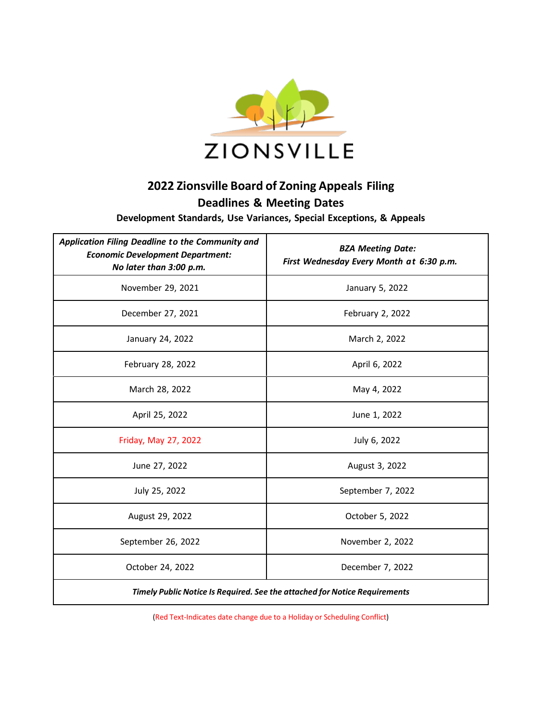

## **2022 Zionsville Board of Zoning Appeals Filing Deadlines & Meeting Dates**

**Development Standards, Use Variances, Special Exceptions, & Appeals**

| Application Filing Deadline to the Community and<br><b>Economic Development Department:</b><br>No later than 3:00 p.m. | <b>BZA Meeting Date:</b><br>First Wednesday Every Month at 6:30 p.m. |
|------------------------------------------------------------------------------------------------------------------------|----------------------------------------------------------------------|
| November 29, 2021                                                                                                      | January 5, 2022                                                      |
| December 27, 2021                                                                                                      | February 2, 2022                                                     |
| January 24, 2022                                                                                                       | March 2, 2022                                                        |
| February 28, 2022                                                                                                      | April 6, 2022                                                        |
| March 28, 2022                                                                                                         | May 4, 2022                                                          |
| April 25, 2022                                                                                                         | June 1, 2022                                                         |
| Friday, May 27, 2022                                                                                                   | July 6, 2022                                                         |
| June 27, 2022                                                                                                          | August 3, 2022                                                       |
| July 25, 2022                                                                                                          | September 7, 2022                                                    |
| August 29, 2022                                                                                                        | October 5, 2022                                                      |
| September 26, 2022                                                                                                     | November 2, 2022                                                     |
| October 24, 2022                                                                                                       | December 7, 2022                                                     |
| Timely Public Notice Is Required. See the attached for Notice Requirements                                             |                                                                      |

(Red Text-Indicates date change due to a Holiday or Scheduling Conflict)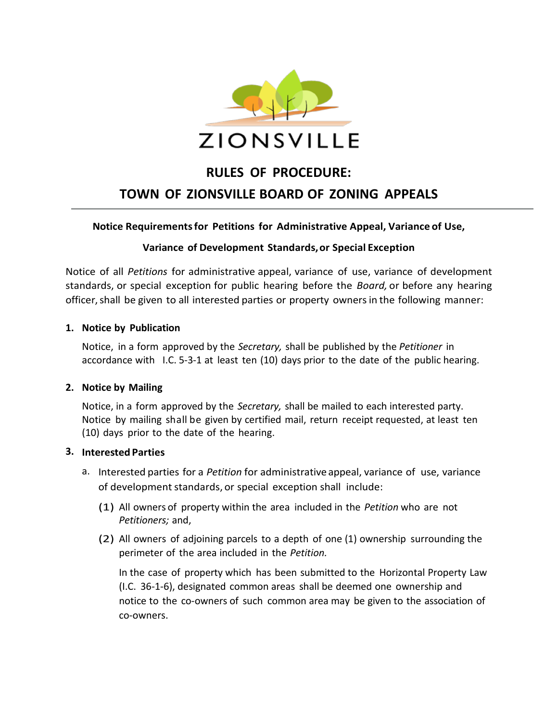

# **RULES OF PROCEDURE: TOWN OF ZIONSVILLE BOARD OF ZONING APPEALS**

#### **Notice Requirementsfor Petitions for Administrative Appeal, Variance of Use,**

#### **Variance of Development Standards,or Special Exception**

Notice of all *Petitions* for administrative appeal, variance of use, variance of development standards, or special exception for public hearing before the *Board,* or before any hearing officer, shall be given to all interested parties or property owners in the following manner:

#### **1. Notice by Publication**

Notice, in a form approved by the *Secretary,* shall be published by the *Petitioner* in accordance with I.C. 5-3-1 at least ten (10) days prior to the date of the public hearing.

#### **2. Notice by Mailing**

Notice, in a form approved by the *Secretary,* shall be mailed to each interested party. Notice by mailing shall be given by certified mail, return receipt requested, at least ten (10) days prior to the date of the hearing.

#### **3. Interested Parties**

- a. Interested parties for a *Petition* for administrative appeal, variance of use, variance of development standards, or special exception shall include:
	- (1) All owners of property within the area included in the *Petition* who are not *Petitioners;* and,
	- (2) All owners of adjoining parcels to a depth of one (1) ownership surrounding the perimeter of the area included in the *Petition.*

In the case of property which has been submitted to the Horizontal Property Law (I.C. 36-1-6), designated common areas shall be deemed one ownership and notice to the co-owners of such common area may be given to the association of co-owners.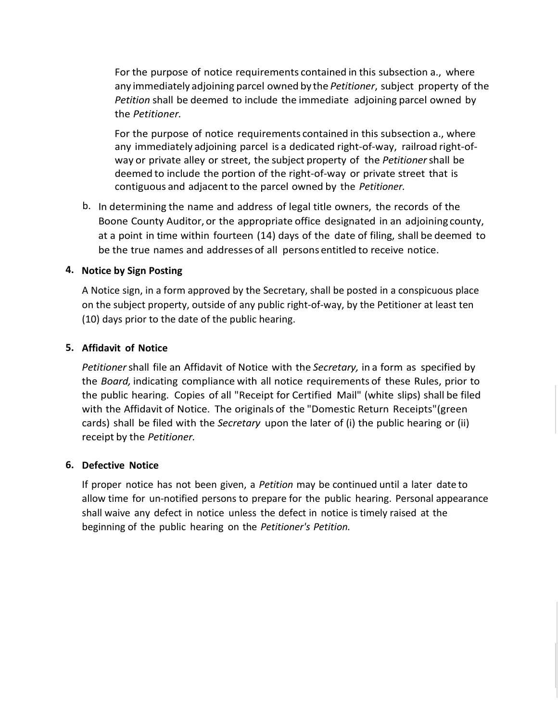For the purpose of notice requirements contained in this subsection a., where any immediately adjoining parcel owned by the *Petitioner*, subject property of the *Petition* shall be deemed to include the immediate adjoining parcel owned by the *Petitioner.*

For the purpose of notice requirements contained in this subsection a., where any immediately adjoining parcel is a dedicated right-of-way, railroad right-ofway or private alley or street, the subject property of the *Petitioner*shall be deemed to include the portion of the right-of-way or private street that is contiguous and adjacent to the parcel owned by the *Petitioner.*

b. In determining the name and address of legal title owners, the records of the Boone County Auditor, or the appropriate office designated in an adjoining county, at a point in time within fourteen (14) days of the date of filing, shall be deemed to be the true names and addresses of all persons entitled to receive notice.

#### **4. Notice by Sign Posting**

A Notice sign, in a form approved by the Secretary, shall be posted in a conspicuous place on the subject property, outside of any public right-of-way, by the Petitioner at least ten (10) days prior to the date of the public hearing.

#### **5. Affidavit of Notice**

*Petitioner*shall file an Affidavit of Notice with the *Secretary,* in a form as specified by the *Board,* indicating compliance with all notice requirements of these Rules, prior to the public hearing. Copies of all "Receipt for Certified Mail" (white slips) shall be filed with the Affidavit of Notice. The originals of the "Domestic Return Receipts"(green cards) shall be filed with the *Secretary* upon the later of (i) the public hearing or (ii) receipt by the *Petitioner.*

#### **6. Defective Notice**

If proper notice has not been given, a *Petition* may be continued until a later date to allow time for un-notified persons to prepare for the public hearing. Personal appearance shall waive any defect in notice unless the defect in notice istimely raised at the beginning of the public hearing on the *Petitioner's Petition.*